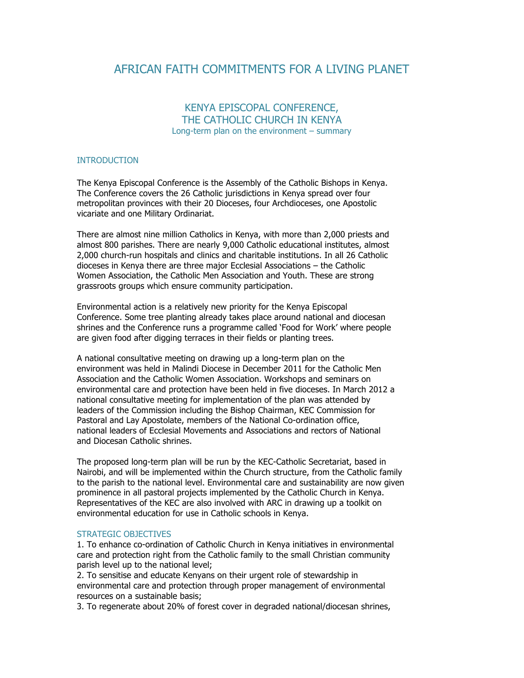# AFRICAN FAITH COMMITMENTS FOR A LIVING PLANET

# KENYA EPISCOPAL CONFERENCE, THE CATHOLIC CHURCH IN KENYA Long-term plan on the environment – summary

#### INTRODUCTION

The Kenya Episcopal Conference is the Assembly of the Catholic Bishops in Kenya. The Conference covers the 26 Catholic jurisdictions in Kenya spread over four metropolitan provinces with their 20 Dioceses, four Archdioceses, one Apostolic vicariate and one Military Ordinariat.

There are almost nine million Catholics in Kenya, with more than 2,000 priests and almost 800 parishes. There are nearly 9,000 Catholic educational institutes, almost 2,000 church-run hospitals and clinics and charitable institutions. In all 26 Catholic dioceses in Kenya there are three major Ecclesial Associations – the Catholic Women Association, the Catholic Men Association and Youth. These are strong grassroots groups which ensure community participation.

Environmental action is a relatively new priority for the Kenya Episcopal Conference. Some tree planting already takes place around national and diocesan shrines and the Conference runs a programme called 'Food for Work' where people are given food after digging terraces in their fields or planting trees.

A national consultative meeting on drawing up a long-term plan on the environment was held in Malindi Diocese in December 2011 for the Catholic Men Association and the Catholic Women Association. Workshops and seminars on environmental care and protection have been held in five dioceses. In March 2012 a national consultative meeting for implementation of the plan was attended by leaders of the Commission including the Bishop Chairman, KEC Commission for Pastoral and Lay Apostolate, members of the National Co-ordination office, national leaders of Ecclesial Movements and Associations and rectors of National and Diocesan Catholic shrines.

The proposed long-term plan will be run by the KEC-Catholic Secretariat, based in Nairobi, and will be implemented within the Church structure, from the Catholic family to the parish to the national level. Environmental care and sustainability are now given prominence in all pastoral projects implemented by the Catholic Church in Kenya. Representatives of the KEC are also involved with ARC in drawing up a toolkit on environmental education for use in Catholic schools in Kenya.

#### STRATEGIC OBJECTIVES

1. To enhance co-ordination of Catholic Church in Kenya initiatives in environmental care and protection right from the Catholic family to the small Christian community parish level up to the national level;

2. To sensitise and educate Kenyans on their urgent role of stewardship in environmental care and protection through proper management of environmental resources on a sustainable basis;

3. To regenerate about 20% of forest cover in degraded national/diocesan shrines,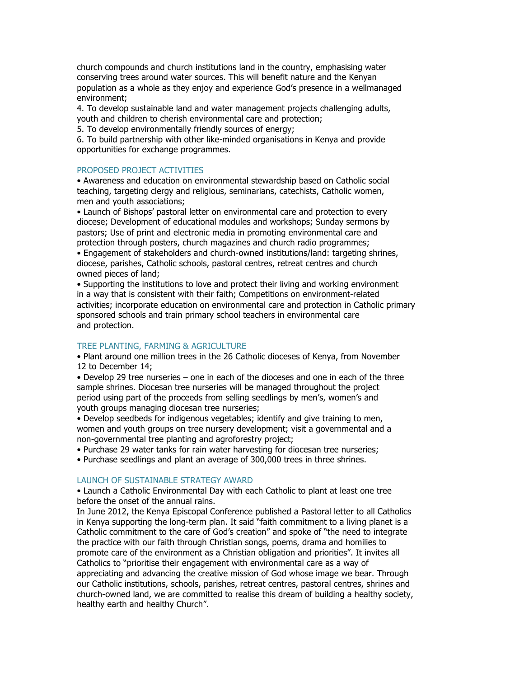church compounds and church institutions land in the country, emphasising water conserving trees around water sources. This will benefit nature and the Kenyan population as a whole as they enjoy and experience God's presence in a wellmanaged environment;

4. To develop sustainable land and water management projects challenging adults, youth and children to cherish environmental care and protection;

5. To develop environmentally friendly sources of energy;

6. To build partnership with other like-minded organisations in Kenya and provide opportunities for exchange programmes.

## PROPOSED PROJECT ACTIVITIES

• Awareness and education on environmental stewardship based on Catholic social teaching, targeting clergy and religious, seminarians, catechists, Catholic women, men and youth associations;

• Launch of Bishops' pastoral letter on environmental care and protection to every diocese; Development of educational modules and workshops; Sunday sermons by pastors; Use of print and electronic media in promoting environmental care and protection through posters, church magazines and church radio programmes;

• Engagement of stakeholders and church-owned institutions/land: targeting shrines, diocese, parishes, Catholic schools, pastoral centres, retreat centres and church owned pieces of land;

• Supporting the institutions to love and protect their living and working environment in a way that is consistent with their faith; Competitions on environment-related activities; incorporate education on environmental care and protection in Catholic primary sponsored schools and train primary school teachers in environmental care and protection.

# TREE PLANTING, FARMING & AGRICULTURE

• Plant around one million trees in the 26 Catholic dioceses of Kenya, from November 12 to December 14;

• Develop 29 tree nurseries – one in each of the dioceses and one in each of the three sample shrines. Diocesan tree nurseries will be managed throughout the project period using part of the proceeds from selling seedlings by men's, women's and youth groups managing diocesan tree nurseries;

• Develop seedbeds for indigenous vegetables; identify and give training to men, women and youth groups on tree nursery development; visit a governmental and a non-governmental tree planting and agroforestry project;

• Purchase 29 water tanks for rain water harvesting for diocesan tree nurseries;

• Purchase seedlings and plant an average of 300,000 trees in three shrines.

## LAUNCH OF SUSTAINABLE STRATEGY AWARD

• Launch a Catholic Environmental Day with each Catholic to plant at least one tree before the onset of the annual rains.

In June 2012, the Kenya Episcopal Conference published a Pastoral letter to all Catholics in Kenya supporting the long-term plan. It said "faith commitment to a living planet is a Catholic commitment to the care of God's creation" and spoke of "the need to integrate the practice with our faith through Christian songs, poems, drama and homilies to promote care of the environment as a Christian obligation and priorities". It invites all Catholics to "prioritise their engagement with environmental care as a way of appreciating and advancing the creative mission of God whose image we bear. Through our Catholic institutions, schools, parishes, retreat centres, pastoral centres, shrines and church-owned land, we are committed to realise this dream of building a healthy society, healthy earth and healthy Church".